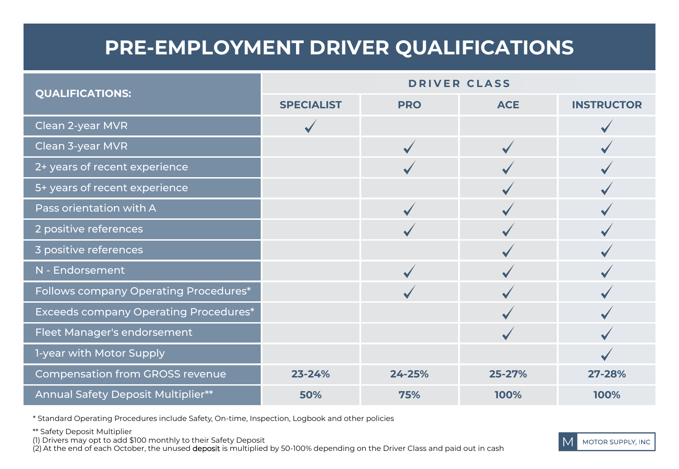## **PRE-EMPLOYMENT DRIVER QUALIFICATIONS**

| <b>QUALIFICATIONS:</b>                       | <b>DRIVER CLASS</b> |            |            |                   |
|----------------------------------------------|---------------------|------------|------------|-------------------|
|                                              | <b>SPECIALIST</b>   | <b>PRO</b> | <b>ACE</b> | <b>INSTRUCTOR</b> |
| Clean 2-year MVR                             |                     |            |            |                   |
| Clean 3-year MVR                             |                     |            |            |                   |
| 2+ years of recent experience                |                     |            |            |                   |
| 5+ years of recent experience                |                     |            |            |                   |
| Pass orientation with A                      |                     |            |            |                   |
| 2 positive references                        |                     |            |            |                   |
| 3 positive references                        |                     |            |            |                   |
| N - Endorsement                              |                     |            |            |                   |
| Follows company Operating Procedures*        |                     |            |            |                   |
| <b>Exceeds company Operating Procedures*</b> |                     |            |            |                   |
| Fleet Manager's endorsement                  |                     |            |            |                   |
| 1-year with Motor Supply                     |                     |            |            |                   |
| <b>Compensation from GROSS revenue</b>       | 23-24%              | 24-25%     | 25-27%     | 27-28%            |
| Annual Safety Deposit Multiplier**           | 50%                 | 75%        | 100%       | 100%              |

\* Standard Operating Procedures include Safety, On-time, Inspection, Logbook and other policies

\*\* Safety Deposit Multiplier

(1) Drivers may opt to add \$100 monthly to their Safety Deposit

(2) At the end of each October, the unused deposit is multiplied by 50-100% depending on the Driver Class and paid out in cash

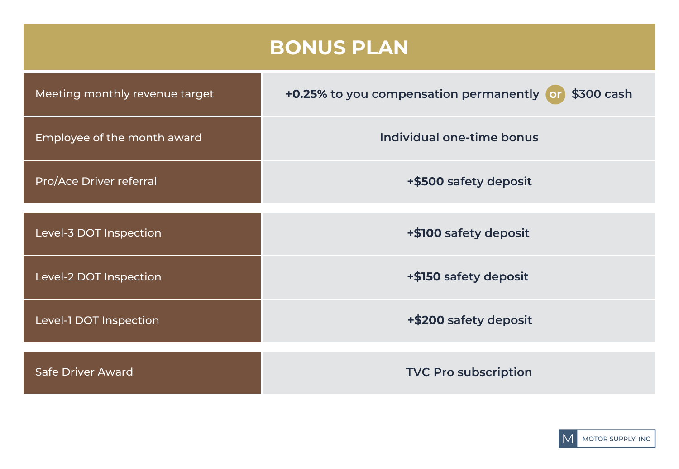## **BONUS PLAN**

| Meeting monthly revenue target | \$300 cash<br>+0.25% to you compensation permanently or |
|--------------------------------|---------------------------------------------------------|
| Employee of the month award    | Individual one-time bonus                               |
| Pro/Ace Driver referral        | +\$500 safety deposit                                   |
| Level-3 DOT Inspection         | +\$100 safety deposit                                   |
| Level-2 DOT Inspection         | +\$150 safety deposit                                   |
| Level-1 DOT Inspection         | +\$200 safety deposit                                   |
| <b>Safe Driver Award</b>       | <b>TVC Pro subscription</b>                             |